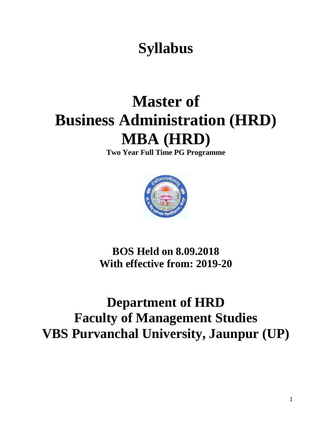# **Syllabus**

# **Master of Business Administration (HRD) MBA (HRD)**

**Two Year Full Time PG Programme**



## **BOS Held on 8.09.2018 With effective from: 2019-20**

## **Department of HRD Faculty of Management Studies VBS Purvanchal University, Jaunpur (UP)**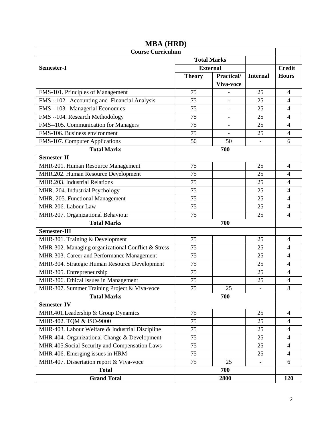| <b>Course Curriculum</b>                           |                 |                   |                          |                |
|----------------------------------------------------|-----------------|-------------------|--------------------------|----------------|
| <b>Total Marks</b>                                 |                 |                   |                          |                |
| Semester-I                                         | <b>External</b> |                   | <b>Credit</b>            |                |
|                                                    | <b>Theory</b>   | <b>Practical/</b> | <b>Internal</b>          | <b>Hours</b>   |
|                                                    |                 | Viva-voce         |                          |                |
| FMS-101. Principles of Management                  | 75              |                   | 25                       | $\overline{4}$ |
| FMS --102. Accounting and Financial Analysis       | 75              |                   | 25                       | $\overline{4}$ |
| FMS --103. Managerial Economics                    | 75              |                   | 25                       | $\overline{4}$ |
| FMS --104. Research Methodology                    | 75              | $\overline{a}$    | 25                       | $\overline{4}$ |
| FMS--105. Communication for Managers               | 75              |                   | 25                       | $\overline{4}$ |
| FMS-106. Business environment                      | 75              |                   | 25                       | $\overline{4}$ |
| FMS-107. Computer Applications                     | 50              | 50                |                          | 6              |
| <b>Total Marks</b>                                 |                 | 700               |                          |                |
| Semester-II                                        |                 |                   |                          |                |
| MHR-201. Human Resource Management                 | 75              |                   | 25                       | 4              |
| MHR.202. Human Resource Development                | 75              |                   | 25                       | $\overline{4}$ |
| MHR.203. Industrial Relations                      | 75              |                   | 25                       | $\overline{4}$ |
| MHR. 204. Industrial Psychology                    | 75              |                   | 25                       | $\overline{4}$ |
| MHR. 205. Functional Management                    | 75              |                   | 25                       | $\overline{4}$ |
| MHR-206. Labour Law                                | 75              |                   | 25                       | 4              |
| MHR-207. Organizational Behaviour                  | 75              |                   | 25                       | $\overline{4}$ |
| <b>Total Marks</b>                                 | 700             |                   |                          |                |
| <b>Semester-III</b>                                |                 |                   |                          |                |
| MHR-301. Training & Development                    | 75              |                   | 25                       | $\overline{4}$ |
| MHR-302. Managing organizational Conflict & Stress | 75              |                   | 25                       | $\overline{4}$ |
| MHR-303. Career and Performance Management         | 75              |                   | 25                       | $\overline{4}$ |
| MHR-304. Strategic Human Resource Development      | 75              |                   | 25                       | $\overline{4}$ |
| MHR-305. Entrepreneurship                          | 75              |                   | 25                       | $\overline{4}$ |
| MHR-306. Ethical Issues in Management              | 75              |                   | 25                       | $\overline{4}$ |
| MHR-307. Summer Training Project & Viva-voce       | 75              | 25                |                          | 8              |
| <b>Total Marks</b>                                 |                 | 700               |                          |                |
| Semester-IV                                        |                 |                   |                          |                |
| MHR.401.Leadership & Group Dynamics                | 75              |                   | 25                       | $\overline{4}$ |
| MHR-402. TQM & ISO-9000                            | 75              |                   | 25                       | $\overline{4}$ |
| MHR-403. Labour Welfare & Industrial Discipline    | 75              |                   | 25                       | $\overline{4}$ |
| MHR-404. Organizational Change & Development       | 75              |                   | 25                       | $\overline{4}$ |
| MHR-405. Social Security and Compensation Laws     | 75              |                   | 25                       | $\overline{4}$ |
| MHR-406. Emerging issues in HRM                    | 75              |                   | 25                       | $\overline{4}$ |
| MHR-407. Dissertation report & Viva-voce           | 75              | 25                | $\overline{\phantom{a}}$ | 6              |
| <b>Total</b>                                       |                 | 700               |                          |                |
| <b>Grand Total</b>                                 |                 | 2800              |                          | 120            |

## **MBA (HRD)**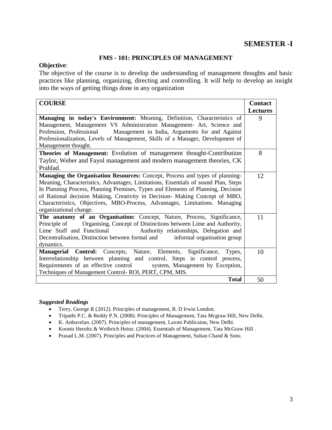## **SEMESTER -I**

## **FMS - 101: PRINCIPLES OF MANAGEMENT**

## **Objective**:

The objective of the course is to develop the understanding of management thoughts and basic practices like planning, organizing, directing and controlling. It will help to develop an insight into the ways of getting things done in any organization

| <b>COURSE</b>                                                                      | <b>Contact</b>  |
|------------------------------------------------------------------------------------|-----------------|
|                                                                                    | <b>Lectures</b> |
| Managing in today's Environment: Meaning, Definition, Characteristics of           | 9               |
| Management, Management VS Administration Management- Art, Science and              |                 |
| Profession, Professional Management in India, Arguments for and Against            |                 |
| Professionalization, Levels of Management, Skills of a Manager, Development of     |                 |
| Management thought.                                                                |                 |
| Theories of Management: Evolution of management thought-Contribution               | 8               |
| Taylor, Weber and Fayol management and modern management theories, CK              |                 |
| Prahlad.                                                                           |                 |
| Managing the Organisation Resources: Concept, Process and types of planning-       | 12              |
| Meaning, Characteristics, Advantages, Limitations, Essentials of sound Plan, Steps |                 |
| In Planning Process, Planning Premises, Types and Elements of Planning, Decision   |                 |
| of Rational decision Making, Creativity in Decision- Making Concept of MBO,        |                 |
| Characteristics, Objectives, MBO-Process, Advantages, Limitations. Managing        |                 |
| organizational change.                                                             |                 |
| The anatomy of an Organisation: Concept, Nature, Process, Significance,            | 11              |
| Principle of Organising, Concept of Distinctions between Lime and Authority,       |                 |
| Lime Staff and Functional Authority relationships, Delegation and                  |                 |
| Decentralisation, Distinction between formal and<br>informal organisation group    |                 |
| dynamics.                                                                          |                 |
| Managerial Control: Concepts, Nature, Elements, Significance,<br>Types,            | 10              |
| Interrelationship between planning and control, Steps in control process,          |                 |
| Requirements of an effective control system, Management by Exception,              |                 |
| Techniques of Management Control-ROI, PERT, CPM, MIS.                              |                 |
| <b>Total</b>                                                                       | 50              |

- Terry, George R (2012). Principles of management, R. D Irwin London.
- Tripathi P.C. & Reddy P.N. (2008). Principles of Management, Tata Mcgraw Hill, New Delhi.
- K. Anbuvelan. (2007). Principles of management, Laxmi Publicaion, New Delhi.
- Koontz Heroltz & Weihrich Heinz. (2004). Essentials of Management, Tata McGraw Hill .
- Prasad L.M. (2007). Principles and Practices of Management, Sultan Chand & Sons.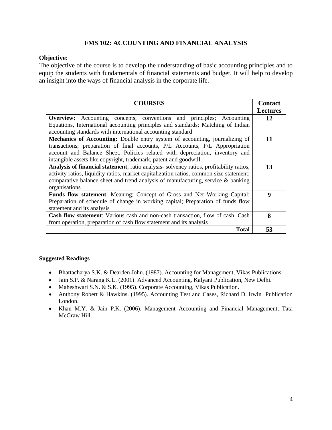## **FMS 102: ACCOUNTING AND FINANCIAL ANALYSIS**

## **Objective**:

The objective of the course is to develop the understanding of basic accounting principles and to equip the students with fundamentals of financial statements and budget. It will help to develop an insight into the ways of financial analysis in the corporate life.

| <b>COURSES</b>                                                                          | <b>Contact</b>  |
|-----------------------------------------------------------------------------------------|-----------------|
|                                                                                         | <b>Lectures</b> |
| <b>Overview:</b> Accounting concepts, conventions and principles; Accounting            | 12              |
| Equations, International accounting principles and standards; Matching of Indian        |                 |
| accounting standards with international accounting standard                             |                 |
| <b>Mechanics of Accounting:</b> Double entry system of accounting, journalizing of      | 11              |
| transactions; preparation of final accounts, P/L Accounts, P/L Appropriation            |                 |
| account and Balance Sheet, Policies related with depreciation, inventory and            |                 |
| intangible assets like copyright, trademark, patent and goodwill.                       |                 |
| Analysis of financial statement; ratio analysis-solvency ratios, profitability ratios,  | 13              |
| activity ratios, liquidity ratios, market capitalization ratios, common size statement; |                 |
| comparative balance sheet and trend analysis of manufacturing, service & banking        |                 |
| organisations                                                                           |                 |
| Funds flow statement: Meaning; Concept of Gross and Net Working Capital;                | 9               |
| Preparation of schedule of change in working capital; Preparation of funds flow         |                 |
| statement and its analysis                                                              |                 |
| <b>Cash flow statement:</b> Various cash and non-cash transaction, flow of cash, Cash   | 8               |
| from operation, preparation of cash flow statement and its analysis                     |                 |
| <b>Total</b>                                                                            | 53              |

- Bhattacharya S.K. & Dearden John. (1987). Accounting for Management, Vikas Publications.
- Jain S.P. & Narang K.L. (2001). Advanced Accounting, Kalyani Publication, New Delhi.
- Maheshwari S.N. & S.K. (1995). Corporate Accounting, Vikas Publication.
- Anthony Robert & Hawkins. (1995). Accounting Test and Cases, Richard D. Irwin Publication London.
- Khan M.Y. & Jain P.K. (2006). Management Accounting and Financial Management, Tata McGraw Hill.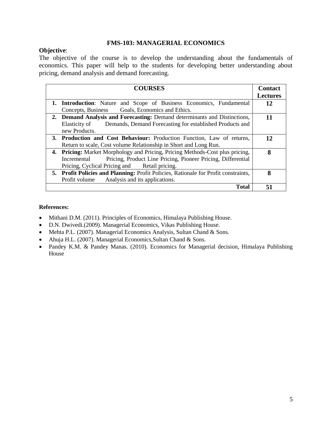## **FMS-103: MANAGERIAL ECONOMICS**

## **Objective**:

The objective of the course is to develop the understanding about the fundamentals of economics. This paper will help to the students for developing better understanding about pricing, demand analysis and demand forecasting.

| <b>COURSES</b>                                                                      | <b>Contact</b>  |
|-------------------------------------------------------------------------------------|-----------------|
|                                                                                     | <b>Lectures</b> |
| <b>1. Introduction:</b> Nature and Scope of Business Economics, Fundamental         | 12              |
| Goals, Economics and Ethics.<br>Concepts, Business                                  |                 |
| 2. Demand Analysis and Forecasting: Demand determinants and Distinctions,           | 11              |
| Demands, Demand Forecasting for established Products and<br>Elasticity of           |                 |
| new Products.                                                                       |                 |
| 3. Production and Cost Behaviour: Production Function, Law of returns,              | 12              |
| Return to scale, Cost volume Relationship in Short and Long Run.                    |                 |
| 4. Pricing: Market Morphology and Pricing, Pricing Methods-Cost plus pricing,       | 8               |
| Pricing, Product Line Pricing, Pioneer Pricing, Differential<br>Incremental         |                 |
| Pricing, Cyclical Pricing and Retail pricing.                                       |                 |
| 5. Profit Policies and Planning: Profit Policies, Rationale for Profit constraints, | 8               |
| Analysis and its applications.<br>Profit volume                                     |                 |
| <b>Total</b>                                                                        | 51              |

- Mithani D.M. (2011). Principles of Economics, Himalaya Publishing House.
- D.N. Dwivedi.(2009). Managerial Economics, Vikas Publishing House.
- Mehta P.L. (2007). Managerial Economics Analysis, Sultan Chand & Sons.
- Ahuja H.L. (2007). Managerial Economics, Sultan Chand & Sons.
- Pandey K.M. & Pandey Manas. (2010). Economics for Managerial decision, Himalaya Publishing House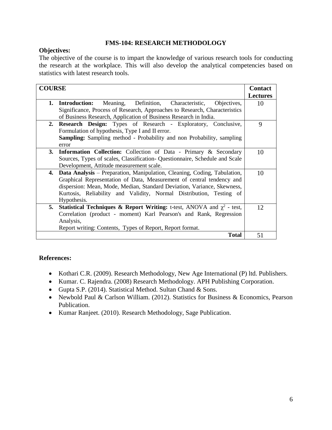## **FMS-104: RESEARCH METHODOLOGY**

## **Objectives:**

The objective of the course is to impart the knowledge of various research tools for conducting the research at the workplace. This will also develop the analytical competencies based on statistics with latest research tools.

| <b>COURSE</b>                                                                                |                    |
|----------------------------------------------------------------------------------------------|--------------------|
|                                                                                              |                    |
|                                                                                              | <b>Lectures</b>    |
| Definition,<br>1.<br><b>Introduction:</b><br>Meaning,<br>Characteristic,<br>Objectives,      | 10                 |
| Significance, Process of Research, Approaches to Research, Characteristics                   |                    |
| of Business Research, Application of Business Research in India.                             |                    |
| Research Design: Types of Research - Exploratory, Conclusive,<br>2.                          | 9                  |
| Formulation of hypothesis, Type I and II error.                                              |                    |
| <b>Sampling:</b> Sampling method - Probability and non Probability, sampling                 |                    |
|                                                                                              |                    |
| error                                                                                        |                    |
| 3.<br><b>Information Collection:</b> Collection of Data - Primary & Secondary                | 10                 |
| Sources, Types of scales, Classification- Questionnaire, Schedule and Scale                  |                    |
| Development, Attitude measurement scale.                                                     |                    |
| <b>Data Analysis</b> – Preparation, Manipulation, Cleaning, Coding, Tabulation,<br>4.        | 10                 |
| Graphical Representation of Data, Measurement of central tendency and                        |                    |
| dispersion: Mean, Mode, Median, Standard Deviation, Variance, Skewness,                      |                    |
| Kurtosis, Reliability and Validity, Normal Distribution, Testing of                          |                    |
| Hypothesis.                                                                                  |                    |
|                                                                                              |                    |
| <b>Statistical Techniques &amp; Report Writing:</b> t-test, ANOVA and $\chi^2$ - test,<br>5. | 12                 |
| Correlation (product - moment) Karl Pearson's and Rank, Regression                           |                    |
| Analysis,                                                                                    |                    |
| Report writing: Contents, Types of Report, Report format.                                    |                    |
|                                                                                              | <b>Total</b><br>51 |

- Kothari C.R. (2009). Research Methodology, New Age International (P) ltd. Publishers.
- Kumar. C. Rajendra. (2008) Research Methodology. APH Publishing Corporation.
- Gupta S.P. (2014). Statistical Method. Sultan Chand & Sons.
- Newbold Paul & Carlson William. (2012). Statistics for Business & Economics, Pearson Publication.
- Kumar Ranjeet. (2010). Research Methodology, Sage Publication.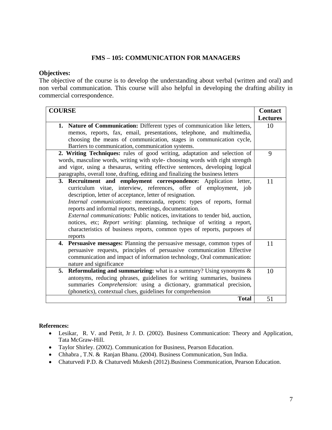## **FMS – 105: COMMUNICATION FOR MANAGERS**

#### **Objectives:**

The objective of the course is to develop the understanding about verbal (written and oral) and non verbal communication. This course will also helpful in developing the drafting ability in commercial correspondence.

| <b>COURSE</b>                                                                       | <b>Contact</b>  |
|-------------------------------------------------------------------------------------|-----------------|
|                                                                                     | <b>Lectures</b> |
| 1. Nature of Communication: Different types of communication like letters,          | 10              |
| memos, reports, fax, email, presentations, telephone, and multimedia,               |                 |
| choosing the means of communication, stages in communication cycle,                 |                 |
| Barriers to communication, communication systems.                                   |                 |
| 2. Writing Techniques: rules of good writing, adaptation and selection of           | 9               |
| words, masculine words, writing with style-choosing words with right strength       |                 |
| and vigor, using a thesaurus, writing effective sentences, developing logical       |                 |
| paragraphs, overall tone, drafting, editing and finalizing the business letters     |                 |
| 3. Recruitment and employment correspondence: Application letter,                   | 11              |
| curriculum vitae, interview, references, offer of employment, job                   |                 |
| description, letter of acceptance, letter of resignation.                           |                 |
| Internal communications: memoranda, reports: types of reports, formal               |                 |
| reports and informal reports, meetings, documentation.                              |                 |
| <i>External communications:</i> Public notices, invitations to tender bid, auction, |                 |
| notices, etc; Report writing: planning, technique of writing a report,              |                 |
| characteristics of business reports, common types of reports, purposes of           |                 |
| reports                                                                             |                 |
| 4. Persuasive messages: Planning the persuasive message, common types of            | 11              |
| persuasive requests, principles of persuasive communication Effective               |                 |
| communication and impact of information technology, Oral communication:             |                 |
| nature and significance                                                             |                 |
| <b>Reformulating and summarizing:</b> what is a summary? Using synonyms $\&$<br>5.  | 10              |
| antonyms, reducing phrases, guidelines for writing summaries, business              |                 |
| summaries Comprehension: using a dictionary, grammatical precision,                 |                 |
| (phonetics), contextual clues, guidelines for comprehension                         |                 |
| <b>Total</b>                                                                        | 51              |

- Lesikar, R. V. and Pettit, Jr J. D. (2002). Business Communication: Theory and Application, Tata McGraw-Hill.
- Taylor Shirley. (2002). Communication for Business, Pearson Education.
- Chhabra , T.N. & Ranjan Bhanu. (2004). Business Communication, Sun India.
- Chaturvedi P.D. & Chaturvedi Mukesh (2012).Business Communication, Pearson Education.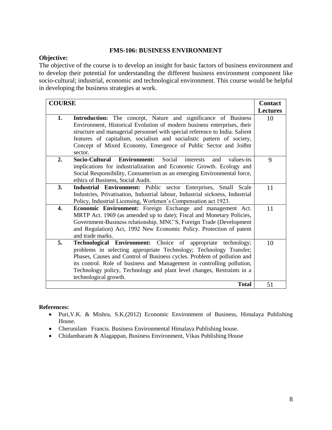## **FMS-106: BUSINESS ENVIRONMENT**

## **Objective:**

The objective of the course is to develop an insight for basic factors of business environment and to develop their potential for understanding the different business environment component like socio-cultural; industrial, economic and technological environment. This course would be helpful in developing the business strategies at work.

| <b>COURSE</b> |                                                                                                                                                                                                                                                                                                                                                                                                   | <b>Contact</b>  |
|---------------|---------------------------------------------------------------------------------------------------------------------------------------------------------------------------------------------------------------------------------------------------------------------------------------------------------------------------------------------------------------------------------------------------|-----------------|
|               |                                                                                                                                                                                                                                                                                                                                                                                                   | <b>Lectures</b> |
| 1.            | Introduction: The concept, Nature and significance of Business<br>Environment, Historical Evolution of modern business enterprises, their<br>structure and managerial personnel with special reference to India. Salient<br>features of capitalism, socialism and socialistic pattern of society,<br>Concept of Mixed Economy, Emergence of Public Sector and Joi8nt<br>sector.                   | 10              |
| 2.            | <b>Environment:</b><br>Social<br>Socio-Cultural<br>values-its<br>interests<br>and<br>implications for industrialization and Economic Growth. Ecology and<br>Social Responsibility, Consumerism as an emerging Environmental force,<br>ethics of Business, Social Audit.                                                                                                                           | 9               |
| 3.            | Industrial Environment: Public sector Enterprises, Small Scale<br>Industries, Privatisation, Industrial labour, Industrial sickness, Industrial<br>Policy, Industrial Licensing, Workmen's Compensation act 1923.                                                                                                                                                                                 | 11              |
| 4.            | Economic Environment: Foreign Exchange and management Act.<br>MRTP Act. 1969 (as amended up to date); Fiscal and Monetary Policies,<br>Government-Business relationship, MNC'S, Foreign Trade (Development<br>and Regulation) Act, 1992 New Economic Policy. Protection of patent<br>and trade marks.                                                                                             | 11              |
| 5.            | <b>Technological Environment:</b> Choice of appropriate technology;<br>problems in selecting appropriate Technology; Technology Transfer;<br>Phases, Causes and Control of Business cycles. Problem of pollution and<br>its control. Role of business and Management in controlling pollution,<br>Technology policy, Technology and plant level changes, Restraints in a<br>technological growth. | 10              |
|               | <b>Total</b>                                                                                                                                                                                                                                                                                                                                                                                      | 51              |

- Puri,V.K. & Mishra, S.K.(2012) Economic Environment of Business, Himalaya Publishing House.
- Cherunilam Francis. Business Environmental Himalaya Publishing house.
- Chidambaram & Alagappan, Business Environment, Vikas Publishing House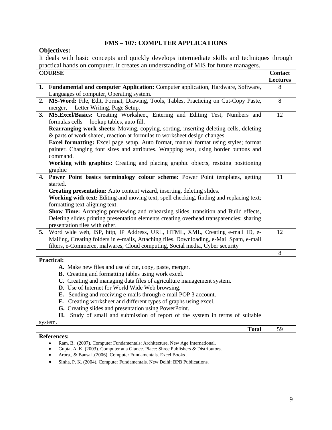## **FMS – 107: COMPUTER APPLICATIONS**

## **Objectives:**

It deals with basic concepts and quickly develops intermediate skills and techniques through practical hands on computer. It creates an understanding of MIS for future managers.

|    | <b>COURSE</b>                                                                                                                                                      | <b>Contact</b><br><b>Lectures</b> |
|----|--------------------------------------------------------------------------------------------------------------------------------------------------------------------|-----------------------------------|
|    | 1. Fundamental and computer Application: Computer application, Hardware, Software,                                                                                 | 8                                 |
|    | Languages of computer, Operating system.                                                                                                                           |                                   |
| 2. | MS-Word: File, Edit, Format, Drawing, Tools, Tables, Practicing on Cut-Copy Paste,                                                                                 | 8                                 |
|    | merger, Letter Writing, Page Setup.                                                                                                                                |                                   |
| 3. | MS.Excel/Basics: Creating Worksheet, Entering and Editing Test, Numbers and                                                                                        | 12                                |
|    | formulas cells<br>lookup tables, auto fill.                                                                                                                        |                                   |
|    | Rearranging work sheets: Moving, copying, sorting, inserting deleting cells, deleting                                                                              |                                   |
|    | & parts of work shared, reaction at formulas to worksheet design changes.                                                                                          |                                   |
|    | Excel formatting: Excel page setup. Auto format, manual format using styles; format                                                                                |                                   |
|    | painter. Changing font sizes and attributes. Wrapping text, using border buttons and                                                                               |                                   |
|    | command.                                                                                                                                                           |                                   |
|    | Working with graphics: Creating and placing graphic objects, resizing positioning                                                                                  |                                   |
|    | graphic                                                                                                                                                            |                                   |
|    | 4. Power Point basics terminology colour scheme: Power Point templates, getting                                                                                    | 11                                |
|    | started.                                                                                                                                                           |                                   |
|    | Creating presentation: Auto content wizard, inserting, deleting slides.<br>Working with text: Editing and moving text, spell checking, finding and replacing text; |                                   |
|    | formatting text-aligning text.                                                                                                                                     |                                   |
|    | Show Time: Arranging previewing and rehearsing slides, transition and Build effects,                                                                               |                                   |
|    | Deleting slides printing presentation elements creating overhead transparencies; sharing                                                                           |                                   |
|    | presentation tiles with other.                                                                                                                                     |                                   |
| 5. | Word wide web, ISP, http, IP Address, URL, HTML, XML, Creating e-mail ID, e-                                                                                       | 12                                |
|    | Mailing, Creating folders in e-mails, Attaching files, Downloading, e-Mail Spam, e-mail                                                                            |                                   |
|    | filters, e-Commerce, malwares, Cloud computing, Social media, Cyber security                                                                                       |                                   |
|    |                                                                                                                                                                    | 8                                 |
|    | <b>Practical:</b>                                                                                                                                                  |                                   |
|    | A. Make new files and use of cut, copy, paste, merger.                                                                                                             |                                   |
|    | <b>B.</b> Creating and formatting tables using work excel.                                                                                                         |                                   |
|    | C. Creating and managing data files of agriculture management system.                                                                                              |                                   |
|    | D. Use of Internet for World Wide Web browsing.                                                                                                                    |                                   |
|    | E. Sending and receiving e-mails through e-mail POP 3 account.                                                                                                     |                                   |
|    | F. Creating worksheet and different types of graphs using excel.                                                                                                   |                                   |
|    | G. Creating slides and presentation using PowerPoint.                                                                                                              |                                   |
|    | H. Study of small and submission of report of the system in terms of suitable                                                                                      |                                   |
|    | system.                                                                                                                                                            |                                   |
|    | <b>Total</b>                                                                                                                                                       | 59                                |

- Ram, B. (2007). Computer Fundamentals: Architecture, New Age International.
- Gupta, A. K. (2003). Computer at a Glance. Place: Shree Publishers & Distributors.
- Arora., & Bansal .(2006). Computer Fundamentals. Excel Books .
- Sinha, P. K. (2004). Computer Fundamentals. New Delhi: BPB Publications.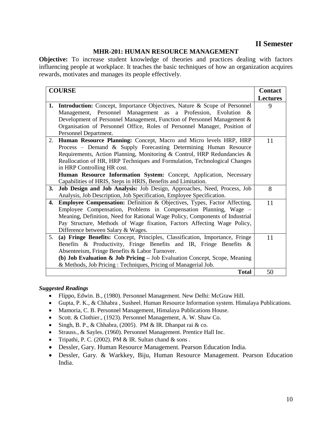## **II Semester**

## **MHR-201: HUMAN RESOURCE MANAGEMENT**

**Objective:** To increase student knowledge of theories and practices dealing with factors influencing people at workplace. It teaches the basic techniques of how an organization acquires rewards, motivates and manages its people effectively.

| <b>COURSE</b> |                                                                                     | <b>Contact</b>  |
|---------------|-------------------------------------------------------------------------------------|-----------------|
|               |                                                                                     | <b>Lectures</b> |
|               | <b>1. Introduction:</b> Concept, Importance Objectives, Nature & Scope of Personnel | 9               |
|               | Management, Personnel Management as a Profession, Evolution<br>&                    |                 |
|               | Development of Personnel Management, Function of Personnel Management &             |                 |
|               | Organisation of Personnel Office, Roles of Personnel Manager, Position of           |                 |
|               | Personnel Department.                                                               |                 |
| 2.            | Human Resource Planning: Concept, Macro and Micro levels HRP, HRP                   | 11              |
|               | Process - Demand & Supply Forecasting Determining Human Resource                    |                 |
|               | Requirements, Action Planning, Monitoring & Control, HRP Redundancies &             |                 |
|               | Reallocation of HR, HRP Techniques and Formulation, Technological Changes           |                 |
|               | in HRP Controlling HR cost.                                                         |                 |
|               | Human Resource Information System: Concept, Application, Necessary                  |                 |
|               | Capabilities of HRIS, Steps in HRIS, Benefits and Limitation.                       |                 |
| <b>3.</b>     | Job Design and Job Analysis: Job Design, Approaches, Need, Process, Job             | 8               |
|               | Analysis, Job Description, Job Specification, Employee Specification.               |                 |
| 4.            | <b>Employee Compensation:</b> Definition & Objectives, Types, Factor Affecting,     | 11              |
|               | Employee Compensation, Problems in Compensation Planning, Wage –                    |                 |
|               | Meaning, Definition, Need for Rational Wage Policy, Components of Industrial        |                 |
|               | Pay Structure, Methods of Wage fixation, Factors Affecting Wage Policy,             |                 |
|               | Difference between Salary & Wages.                                                  |                 |
| 5.            | (a) Fringe Benefits: Concept, Principles, Classification, Importance, Fringe        | 11              |
|               | Benefits & Productivity, Fringe Benefits and IR, Fringe Benefits &                  |                 |
|               | Absenteeism, Fringe Benefits & Labor Turnover.                                      |                 |
|               | (b) Job Evaluation $\&$ Job Pricing – Job Evaluation Concept, Scope, Meaning        |                 |
|               | & Methods, Job Pricing: Techniques, Pricing of Managerial Job.                      |                 |
|               | <b>Total</b>                                                                        | 50              |

- Flippo, Edwin. B., (1980). Personnel Management. New Delhi: McGraw Hill.
- Gupta, P. K., & Chhabra , Susheel. Human Resource Information system. Himalaya Publications.
- Mamoria, C. B. Personnel Management, Himalaya Publications House.
- Scott. & Clothier., (1923). Personnel Management, A. W. Shaw Co.
- Singh, B. P., & Chhabra, (2005). PM & IR. Dhanpat rai & co.
- Strauss., & Sayles. (1960). Personnel Management. Prentice Hall Inc.
- Tripathi, P. C. (2002). PM  $&$  IR. Sultan chand  $&$  sons.
- Dessler, Gary. Human Resource Management. Pearson Education India.
- Dessler, Gary. & Warkkey, Biju, Human Resource Management. Pearson Education India.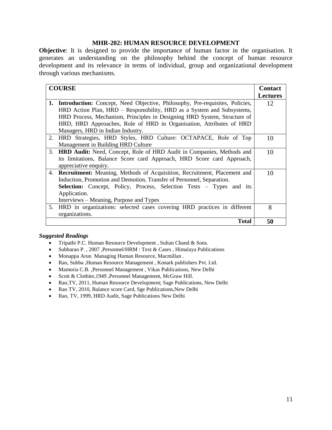## **MHR-202: HUMAN RESOURCE DEVELOPMENT**

**Objective**: It is designed to provide the importance of human factor in the organisation. It generates an understanding on the philosophy behind the concept of human resource development and its relevance in terms of individual, group and organizational development through various mechanisms.

|    | <b>COURSE</b>                                                                       |                 |
|----|-------------------------------------------------------------------------------------|-----------------|
|    |                                                                                     | <b>Lectures</b> |
| 1. | <b>Introduction:</b> Concept, Need Objective, Philosophy, Pre-requisites, Policies, | 12              |
|    | HRD Action Plan, HRD – Responsibility, HRD as a System and Subsystems,              |                 |
|    | HRD Process, Mechanism, Principles in Designing HRD System, Structure of            |                 |
|    | HRD, HRD Approaches, Role of HRD in Organisation, Attributes of HRD                 |                 |
|    | Managers, HRD in Indian Industry.                                                   |                 |
| 2. | HRD Strategies, HRD Styles, HRD Culture: OCTAPACE, Role of Top                      | 10              |
|    | Management in Building HRD Culture                                                  |                 |
|    | 3. <b>HRD Audit:</b> Need, Concept, Role of HRD Audit in Companies, Methods and     | 10              |
|    | its limitations, Balance Score card Approach, HRD Score card Approach,              |                 |
|    | appreciative enquiry.                                                               |                 |
| 4. | Recruitment: Meaning, Methods of Acquisition, Recruitment, Placement and            | 10              |
|    | Induction, Promotion and Demotion, Transfer of Personnel, Separation.               |                 |
|    | <b>Selection:</b> Concept, Policy, Process, Selection Tests – Types and its         |                 |
|    | Application.                                                                        |                 |
|    | Interviews – Meaning, Purpose and Types                                             |                 |
|    | 5. HRD in organizations: selected cases covering HRD practices in different         | 8               |
|    | organizations.                                                                      |                 |
|    | Total                                                                               | 50              |

- Tripathi P.C. Human Resource Development , Sultan Chand & Sons.
- Subbarao P. , 2007 ,Personnel/HRM : Text & Cases , Himalaya Publications
- Monappa Arun Managing Human Resource, Macmillan .
- Rao, Subba ,Human Resource Management , Konark publishers Pvt. Ltd.
- Mamoria C.B. ,Personnel Management , Vikas Publications, New Delhi
- Scott & Clothier, 1949 , Personnel Management, McGraw Hill.
- Rao,TV, 2011, Human Resource Development; Sage Publications, New Delhi
- Rao TV, 2010, Balance score Card, Sge Publications, New Delhi
- Rao, TV, 1999, HRD Audit, Sage Publications New Delhi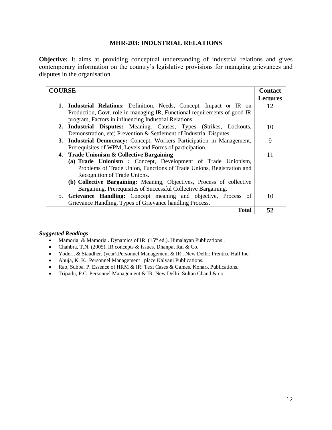## **MHR-203: INDUSTRIAL RELATIONS**

**Objective:** It aims at providing conceptual understanding of industrial relations and gives contemporary information on the country's legislative provisions for managing grievances and disputes in the organisation.

| <b>COURSE</b>                                                             |                 |
|---------------------------------------------------------------------------|-----------------|
|                                                                           | <b>Lectures</b> |
| 1. Industrial Relations: Definition, Needs, Concept, Impact or IR on      | 12              |
| Production, Govt. role in managing IR, Functional requirements of good IR |                 |
| program, Factors in influencing Industrial Relations.                     |                 |
| 2. Industrial Disputes: Meaning, Causes, Types (Strikes, Lockouts,        | 10              |
| Demonstration, etc) Prevention & Settlement of Industrial Disputes.       |                 |
| 3. Industrial Democracy: Concept, Workers Participation in Management,    | 9               |
| Prerequisites of WPM, Levels and Forms of participation.                  |                 |
| 4. Trade Unionism & Collective Bargaining                                 | 11              |
| (a) Trade Unionism : Concept, Development of Trade Unionism,              |                 |
| Problems of Trade Union, Functions of Trade Unions, Registration and      |                 |
| Recognition of Trade Unions.                                              |                 |
| (b) Collective Bargaining: Meaning, Objectives, Process of collective     |                 |
| Bargaining, Prerequisites of Successful Collective Bargaining.            |                 |
| 5. Grievance Handling: Concept meaning and objective, Process of          | 10              |
| Grievance Handling, Types of Grievance handling Process.                  |                 |
| Total                                                                     | 52              |

- Mamoria & Mamoria . Dynamics of IR  $(15<sup>th</sup>$  ed.). Himalayan Publications .
- Chahbra, T.N. (2005). IR concepts & Issues. Dhanpat Rai & Co.
- Yoder., & Staudher. (year).Personnel Management & IR . New Delhi: Prentice Hall Inc.
- Ahuja, K. K.. Personnel Management . place Kalyani Publications.
- Rao, Subba. P. Essence of HRM & IR: Text Cases & Games. Konark Publications.
- Tripathi, P.C. Personnel Management & IR. New Delhi: Sultan Chand & co.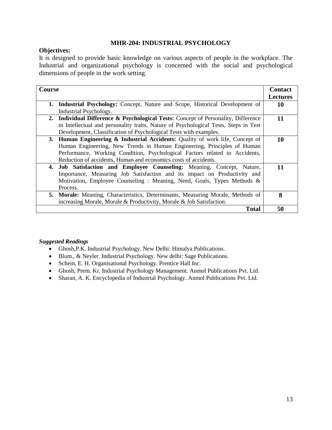## **MHR-204: INDUSTRIAL PSYCHOLOGY**

## **Objectives:**

It is designed to provide basic knowledge on various aspects of people in the workplace. The Industrial and organizational psychology is concerned with the social and psychological dimensions of people in the work setting.

| Course |                                                                                           | <b>Contact</b>  |
|--------|-------------------------------------------------------------------------------------------|-----------------|
|        |                                                                                           | <b>Lectures</b> |
| 1.     | <b>Industrial Psychology:</b> Concept, Nature and Scope, Historical Development of        | 10              |
|        | Industrial Psychology.                                                                    |                 |
|        | <b>2.</b> Individual Difference & Psychological Tests: Concept of Personality, Difference | 11              |
|        | in Intellectual and personality traits, Nature of Psychological Tests, Steps in Test      |                 |
|        | Development, Classification of Psychological Tests with examples.                         |                 |
|        | 3. Human Engineering & Industrial Accidents: Quality of work life, Concept of             | 10              |
|        | Human Engineering, New Trends in Human Engineering, Principles of Human                   |                 |
|        | Performance, Working Condition, Psychological Factors related to Accidents,               |                 |
|        | Reduction of accidents, Human and economics costs of accidents.                           |                 |
|        | 4. Job Satisfaction and Employee Counseling: Meaning, Concept, Nature,                    | 11              |
|        | Importance, Measuring Job Satisfaction and its impact on Productivity and                 |                 |
|        | Motivation, Employee Counseling: Meaning, Need, Goals, Types Methods &                    |                 |
|        | Process.                                                                                  |                 |
|        | 5. Morale: Meaning, Characteristics, Determinants, Measuring Morale, Methods of           | 8               |
|        | increasing Morale, Morale & Productivity, Morale & Job Satisfaction.                      |                 |
|        | <b>Total</b>                                                                              | 50              |

- Ghosh,P.K. Industrial Psychology. New Delhi: Himalya Publications.
- Blum., & Neyler. Industrial Psychology. New delhi: Sage Publications.
- Schein, E. H. Organisational Psychology. Prentice Hall Inc.
- Ghosh, Prem. Kr. Industrial Psychology Management. Anmol Publications Pvt. Ltd.
- Sharan, A. K. Encyclopedia of Industrial Psychology. Anmol Publications Pvt. Ltd.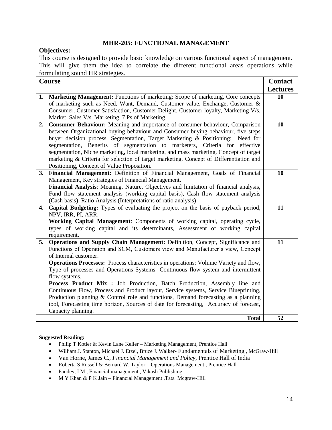## **MHR-205: FUNCTIONAL MANAGEMENT**

#### **Objectives:**

This course is designed to provide basic knowledge on various functional aspect of management. This will give them the idea to correlate the different functional areas operations while formulating sound HR strategies.

| <b>Course</b> |                                                                                                                                                        | <b>Contact</b>  |
|---------------|--------------------------------------------------------------------------------------------------------------------------------------------------------|-----------------|
|               |                                                                                                                                                        | <b>Lectures</b> |
| 1.            | Marketing Management: Functions of marketing: Scope of marketing, Core concepts                                                                        | 10              |
|               | of marketing such as Need, Want, Demand, Customer value, Exchange, Customer &                                                                          |                 |
|               | Consumer, Customer Satisfaction, Customer Delight, Customer loyalty, Marketing V/s.                                                                    |                 |
|               | Market, Sales V/s. Marketing, 7 Ps of Marketing.                                                                                                       |                 |
| 2.            | Consumer Behaviour: Meaning and importance of consumer behaviour, Comparison                                                                           | 10              |
|               | between Organizational buying behaviour and Consumer buying behaviour, five steps                                                                      |                 |
|               | buyer decision process. Segmentation, Target Marketing & Positioning:<br>Need for                                                                      |                 |
|               | segmentation, Benefits of segmentation to marketers, Criteria for effective                                                                            |                 |
|               | segmentation, Niche marketing, local marketing, and mass marketing. Concept of target                                                                  |                 |
|               | marketing & Criteria for selection of target marketing. Concept of Differentiation and                                                                 |                 |
|               | Positioning, Concept of Value Proposition.                                                                                                             |                 |
| 3.            | Financial Management: Definition of Financial Management, Goals of Financial                                                                           | 10              |
|               | Management, Key strategies of Financial Management.                                                                                                    |                 |
|               | Financial Analysis: Meaning, Nature, Objectives and limitation of financial analysis,                                                                  |                 |
|               | Fund flow statement analysis (working capital basis), Cash flow statement analysis                                                                     |                 |
| 4.            | (Cash basis), Ratio Analysis (Interpretations of ratio analysis)<br>Capital Budgeting: Types of evaluating the project on the basis of payback period, | 11              |
|               | NPV, IRR, PI, ARR.                                                                                                                                     |                 |
|               | Working Capital Management: Components of working capital, operating cycle,                                                                            |                 |
|               | types of working capital and its determinants, Assessment of working capital                                                                           |                 |
|               | requirement.                                                                                                                                           |                 |
| 5.            | Operations and Supply Chain Management: Definition, Concept, Significance and                                                                          | 11              |
|               | Functions of Operation and SCM, Customers view and Manufacturer's view, Concept                                                                        |                 |
|               | of Internal customer.                                                                                                                                  |                 |
|               | <b>Operations Processes:</b> Process characteristics in operations: Volume Variety and flow,                                                           |                 |
|               | Type of processes and Operations Systems- Continuous flow system and intermittent                                                                      |                 |
|               | flow systems.                                                                                                                                          |                 |
|               | Process Product Mix : Job Production, Batch Production, Assembly line and                                                                              |                 |
|               | Continuous Flow, Process and Product layout, Service systems, Service Blueprinting,                                                                    |                 |
|               | Production planning & Control role and functions, Demand forecasting as a planning                                                                     |                 |
|               | tool, Forecasting time horizon, Sources of date for forecasting, Accuracy of forecast,                                                                 |                 |
|               | Capacity planning.                                                                                                                                     |                 |
|               | <b>Total</b>                                                                                                                                           | 52              |

- [Philip T Kotler](http://www.amazon.com/s/ref=dp_byline_sr_book_1?ie=UTF8&text=Philip+T+Kotler&search-alias=books&field-author=Philip+T+Kotler&sort=relevancerank) & [Kevin Lane Keller](http://www.amazon.com/Kevin-Lane-Keller/e/B001H6S6C0/ref=dp_byline_cont_book_2) Marketing Management, Prentice Hall
- [William J. Stanton,](https://www.google.co.in/search?tbo=p&tbm=bks&q=inauthor:%22William+J.+Stanton%22) [Michael J. Etzel,](https://www.google.co.in/search?tbo=p&tbm=bks&q=inauthor:%22Michael+J.+Etzel%22) [Bruce J. Walker](https://www.google.co.in/search?tbo=p&tbm=bks&q=inauthor:%22Bruce+J.+Walker%22) Fundamentals of Marketing , McGraw-Hill
- Van Horne, James C., *Financial Management and Policy*, Prentice Hall of India
- Roberta S Russell & Bernard W. Taylor Operations Management , Prentice Hall
- Pandey, I M , Financial management , Vikash Publishing
- M Y Khan & P K Jain Financial Management , Tata Mcgraw-Hill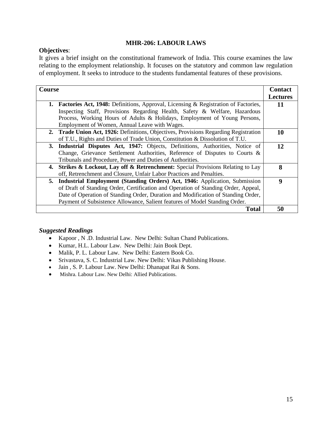## **MHR-206: LABOUR LAWS**

## **Objectives**:

It gives a brief insight on the constitutional framework of India. This course examines the law relating to the employment relationship. It focuses on the statutory and common law regulation of employment. It seeks to introduce to the students fundamental features of these provisions.

| Course                                                                                             |                 |
|----------------------------------------------------------------------------------------------------|-----------------|
|                                                                                                    | <b>Lectures</b> |
| <b>1. Factories Act, 1948:</b> Definitions, Approval, Licensing & Registration of Factories,       | 11              |
| Inspecting Staff, Provisions Regarding Health, Safety & Welfare, Hazardous                         |                 |
| Process, Working Hours of Adults & Holidays, Employment of Young Persons,                          |                 |
| Employment of Women, Annual Leave with Wages.                                                      |                 |
| 2. Trade Union Act, 1926: Definitions, Objectives, Provisions Regarding Registration               | 10              |
| of T.U., Rights and Duties of Trade Union, Constitution & Dissolution of T.U.                      |                 |
| 3. Industrial Disputes Act, 1947: Objects, Definitions, Authorities, Notice of                     | 12              |
| Change, Grievance Settlement Authorities, Reference of Disputes to Courts &                        |                 |
| Tribunals and Procedure, Power and Duties of Authorities.                                          |                 |
| <b>Strikes &amp; Lockout, Lay off &amp; Retrenchment:</b> Special Provisions Relating to Lay<br>4. | 8               |
| off, Retrenchment and Closure, Unfair Labor Practices and Penalties.                               |                 |
| <b>Industrial Employment (Standing Orders) Act, 1946:</b> Application, Submission<br>5.            | 9               |
| of Draft of Standing Order, Certification and Operation of Standing Order, Appeal,                 |                 |
| Date of Operation of Standing Order, Duration and Modification of Standing Order,                  |                 |
| Payment of Subsistence Allowance, Salient features of Model Standing Order.                        |                 |
| <b>Total</b>                                                                                       | 50              |

- Kapoor , N .D. Industrial Law. New Delhi: Sultan Chand Publications.
- Kumar, H.L. Labour Law. New Delhi: Jain Book Dept.
- Malik, P. L. Labour Law. New Delhi: Eastern Book Co.
- Srivastava, S. C. Industrial Law. New Delhi: Vikas Publishing House.
- Jain , S. P. Labour Law. New Delhi: Dhanapat Rai & Sons.
- Mishra. Labour Law. New Delhi: Allied Publications.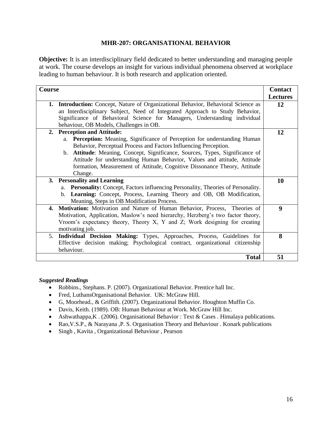## **MHR-207: ORGANISATIONAL BEHAVIOR**

**Objective:** It is an interdisciplinary field dedicated to better understanding and managing people at work. The course develops an insight for various individual phenomena observed at workplace leading to human behaviour. It is both research and application oriented.

| Course                                                                             |                                   |
|------------------------------------------------------------------------------------|-----------------------------------|
|                                                                                    | <b>Contact</b><br><b>Lectures</b> |
|                                                                                    |                                   |
| 1. Introduction: Concept, Nature of Organizational Behavior, Behavioral Science as | 12                                |
| an Interdisciplinary Subject, Need of Integrated Approach to Study Behavior,       |                                   |
| Significance of Behavioral Science for Managers, Understanding individual          |                                   |
| behaviour, OB Models, Challenges in OB.                                            |                                   |
| 2. Perception and Attitude:                                                        | 12                                |
| a. <b>Perception:</b> Meaning, Significance of Perception for understanding Human  |                                   |
| Behavior, Perceptual Process and Factors Influencing Perception.                   |                                   |
| b. Attitude: Meaning, Concept, Significance, Sources, Types, Significance of       |                                   |
| Attitude for understanding Human Behavior, Values and attitude, Attitude           |                                   |
| formation, Measurement of Attitude, Cognitive Dissonance Theory, Attitude          |                                   |
| Change.                                                                            |                                   |
| 3. Personality and Learning                                                        | 10                                |
| a. Personality: Concept, Factors influencing Personality, Theories of Personality. |                                   |
| b. Learning: Concept, Process, Learning Theory and OB, OB Modification,            |                                   |
| Meaning, Steps in OB Modification Process.                                         |                                   |
| Motivation: Motivation and Nature of Human Behavior, Process, Theories of<br>4.    | $\boldsymbol{9}$                  |
| Motivation, Application, Maslow's need hierarchy, Herzberg's two factor theory,    |                                   |
| Vroom's expectancy theory, Theory X, Y and Z; Work designing for creating          |                                   |
| motivating job.                                                                    |                                   |
| 5. Individual Decision Making: Types, Approaches, Process, Guidelines for          | 8                                 |
| Effective decision making; Psychological contract, organizational citizenship      |                                   |
| behaviour.                                                                         |                                   |
|                                                                                    |                                   |
| <b>Total</b>                                                                       | 51                                |

- Robbins., Stephans. P. (2007). Organizational Behavior. Prentice hall Inc.
- Fred, LuthansOrganisational Behavior. UK: McGraw Hill.
- G, Moorhead., & Griffith. (2007). Organizational Behavior. Houghton Muffin Co.
- Davis, Keith. (1989). OB: Human Behaviour at Work. McGraw Hill Inc.
- Ashwathappa, K. (2006). Organisational Behavior: Text & Cases. Himalaya publications.
- Rao,V.S.P., & Narayana ,P. S. Organisation Theory and Behaviour . Konark publications
- Singh , Kavita , Organizational Behaviour , Pearson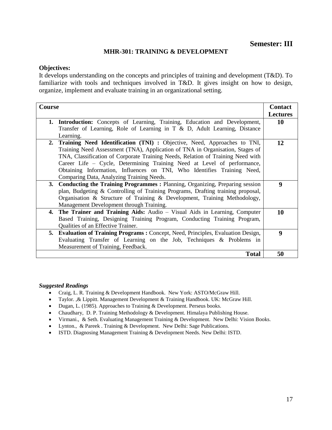## **MHR-301: TRAINING & DEVELOPMENT**

#### **Objectives:**

It develops understanding on the concepts and principles of training and development (T&D). To familiarize with tools and techniques involved in T&D. It gives insight on how to design, organize, implement and evaluate training in an organizational setting.

| Course                                                                                                                                                                                                                                                                                                                                                                                                                                                |                                   |
|-------------------------------------------------------------------------------------------------------------------------------------------------------------------------------------------------------------------------------------------------------------------------------------------------------------------------------------------------------------------------------------------------------------------------------------------------------|-----------------------------------|
|                                                                                                                                                                                                                                                                                                                                                                                                                                                       | <b>Contact</b><br><b>Lectures</b> |
| <b>1. Introduction:</b> Concepts of Learning, Training, Education and Development,                                                                                                                                                                                                                                                                                                                                                                    | 10                                |
| Transfer of Learning, Role of Learning in T & D, Adult Learning, Distance                                                                                                                                                                                                                                                                                                                                                                             |                                   |
| Learning.                                                                                                                                                                                                                                                                                                                                                                                                                                             |                                   |
| Training Need Identification (TNI) : Objective, Need, Approaches to TNI,<br>2.<br>Training Need Assessment (TNA), Application of TNA in Organisation, Stages of<br>TNA, Classification of Corporate Training Needs, Relation of Training Need with<br>Career Life – Cycle, Determining Training Need at Level of performance,<br>Obtaining Information, Influences on TNI, Who Identifies Training Need,<br>Comparing Data, Analyzing Training Needs. | 12                                |
| <b>Conducting the Training Programmes : Planning, Organizing, Preparing session</b><br>3.<br>plan, Budgeting & Controlling of Training Programs, Drafting training proposal,<br>Organisation & Structure of Training & Development, Training Methodology,<br>Management Development through Training.                                                                                                                                                 | 9                                 |
| The Trainer and Training Aids: Audio – Visual Aids in Learning, Computer<br>4.<br>Based Training, Designing Training Program, Conducting Training Program,<br>Qualities of an Effective Trainer.                                                                                                                                                                                                                                                      | 10                                |
| <b>Evaluation of Training Programs: Concept, Need, Principles, Evaluation Design,</b><br>5.<br>Evaluating Transfer of Learning on the Job, Techniques & Problems in<br>Measurement of Training, Feedback.                                                                                                                                                                                                                                             | 9                                 |
| <b>Total</b>                                                                                                                                                                                                                                                                                                                                                                                                                                          | 50                                |

- Craig, L. R. Training & Development Handbook. New York: ASTO/McGraw Hill.
- Taylor. , & Lippitt. Management Development & Training Handbook. UK: McGraw Hill.
- Dugan, L. (1985). Approaches to Training & Development. Perseus books.
- Chaudhary, D. P. Training Methodology & Development. Himalaya Publishing House.
- Virmani., & Seth. Evaluating Management Training & Development. New Delhi: Vision Books.
- Lynton., & Pareek. Training & Development. New Delhi: Sage Publications.
- ISTD. Diagnosing Management Training & Development Needs. New Delhi: ISTD.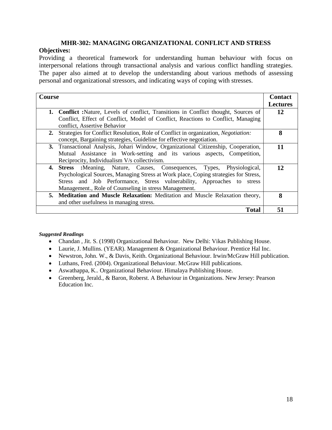## **MHR-302: MANAGING ORGANIZATIONAL CONFLICT AND STRESS**

## **Objectives:**

Providing a theoretical framework for understanding human behaviour with focus on interpersonal relations through transactional analysis and various conflict handling strategies. The paper also aimed at to develop the understanding about various methods of assessing personal and organizational stressors, and indicating ways of coping with stresses.

| Course                                                                                           |                 |
|--------------------------------------------------------------------------------------------------|-----------------|
|                                                                                                  | <b>Lectures</b> |
| <b>1. Conflict :</b> Nature, Levels of conflict, Transitions in Conflict thought, Sources of     | 12              |
| Conflict, Effect of Conflict, Model of Conflict, Reactions to Conflict, Managing                 |                 |
| conflict, Assertive Behavior                                                                     |                 |
| Strategies for Conflict Resolution, Role of Conflict in organization, <i>Negotiation</i> :<br>2. | 8               |
| concept, Bargaining strategies, Guideline for effective negotiation.                             |                 |
| 3. Transactional Analysis, Johari Window, Organizational Citizenship, Cooperation,               | 11              |
| Mutual Assistance in Work-setting and its various aspects, Competition,                          |                 |
| Reciprocity, Individualism V/s collectivism.                                                     |                 |
| :Meaning, Nature, Causes, Consequences, Types, Physiological,<br>4. Stress                       | 12.             |
| Psychological Sources, Managing Stress at Work place, Coping strategies for Stress,              |                 |
| Stress and Job Performance, Stress vulnerability, Approaches to stress                           |                 |
| Management., Role of Counseling in stress Management.                                            |                 |
| 5. Meditation and Muscle Relaxation: Meditation and Muscle Relaxation theory,                    | 8               |
| and other usefulness in managing stress.                                                         |                 |
| <b>Total</b>                                                                                     | 51              |

- Chandan , Jit. S. (1998) Organizational Behaviour. New Delhi: Vikas Publishing House.
- Laurie, J. Mullins. (YEAR). Management & Organizational Behaviour. Prentice Hal Inc.
- Newstron, John. W., & Davis, Keith. Organizational Behaviour. Irwin/McGraw Hill publication.
- Luthans, Fred. (2004). Organizational Behaviour. McGraw Hill publications.
- Aswathappa, K.. Organizational Behaviour. Himalaya Publishing House.
- Greenberg, Jerald., & Baron, Roberst. A Behaviour in Organizations. New Jersey: Pearson Education Inc.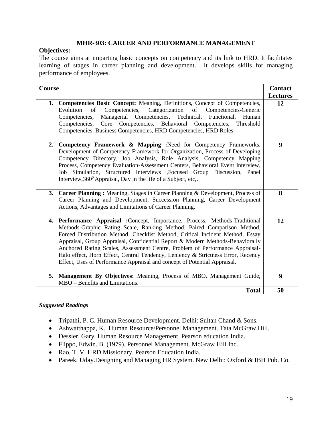## **MHR-303: CAREER AND PERFORMANCE MANAGEMENT**

## **Objectives:**

The course aims at imparting basic concepts on competency and its link to HRD. It facilitates learning of stages in career planning and development. It develops skills for managing performance of employees.

| <b>Course</b>                                                                                                                                                                                                                                                                                                                                                                                                                                                                                                                                                             |                       |
|---------------------------------------------------------------------------------------------------------------------------------------------------------------------------------------------------------------------------------------------------------------------------------------------------------------------------------------------------------------------------------------------------------------------------------------------------------------------------------------------------------------------------------------------------------------------------|-----------------------|
| 1. Competencies Basic Concept: Meaning, Definitions, Concept of Competencies,<br>Competencies, Categorization of Competencies-Generic<br>Evolution<br>of<br>Managerial Competencies, Technical, Functional,<br>Competencies,<br>Human<br>Competencies, Core Competencies, Behavioral Competencies, Threshold<br>Competencies. Business Competencies, HRD Competencies, HRD Roles.                                                                                                                                                                                         | <b>Lectures</b><br>12 |
| 2. Competency Framework & Mapping :Need for Competency Frameworks,<br>Development of Competency Framework for Organization, Process of Developing<br>Competency Directory, Job Analysis, Role Analysis, Competency Mapping<br>Process, Competency Evaluation-Assessment Centers, Behavioral Event Interview,<br>Job Simulation, Structured Interviews ,Focused Group Discussion, Panel<br>Interview, 360 <sup>0</sup> Appraisal, Day in the life of a Subject, etc,.                                                                                                      | $\boldsymbol{9}$      |
| Career Planning: Meaning, Stages in Career Planning & Development, Process of<br>3.<br>Career Planning and Development, Succession Planning, Career Development<br>Actions, Advantages and Limitations of Career Planning.                                                                                                                                                                                                                                                                                                                                                | 8                     |
| 4. Performance Appraisal :Concept, Importance, Process, Methods-Traditional<br>Methods-Graphic Rating Scale, Ranking Method, Paired Comparison Method,<br>Forced Distribution Method, Checklist Method, Critical Incident Method, Essay<br>Appraisal, Group Appraisal, Confidential Report & Modern Methods-Behaviorally<br>Anchored Rating Scales, Assessment Centre, Problem of Performance Appraisal-<br>Halo effect, Horn Effect, Central Tendency, Leniency & Strictness Error, Recency<br>Effect, Uses of Performance Appraisal and concept of Potential Appraisal. | 12                    |
| 5. Management By Objectives: Meaning, Process of MBO, Management Guide,<br>MBO - Benefits and Limitations.                                                                                                                                                                                                                                                                                                                                                                                                                                                                | 9                     |
| <b>Total</b>                                                                                                                                                                                                                                                                                                                                                                                                                                                                                                                                                              | 50                    |

- Tripathi, P. C. Human Resource Development. Delhi: Sultan Chand & Sons.
- Ashwatthappa, K.. Human Resource/Personnel Management. Tata McGraw Hill.
- Dessler, Gary. Human Resource Management. Pearson education India.
- Flippo, Edwin. B. (1979). Personnel Management. McGraw Hill Inc.
- Rao, T. V. HRD Missionary. Pearson Education India.
- Pareek, Uday.Designing and Managing HR System. New Delhi: Oxford & IBH Pub. Co.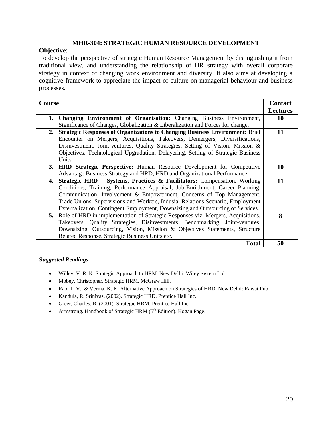## **MHR-304: STRATEGIC HUMAN RESOURCE DEVELOPMENT**

## **Objective**:

To develop the perspective of strategic Human Resource Management by distinguishing it from traditional view, and understanding the relationship of HR strategy with overall corporate strategy in context of changing work environment and diversity. It also aims at developing a cognitive framework to appreciate the impact of culture on managerial behaviour and business processes.

| <b>Course</b> |                                                                                     | <b>Contact</b>  |
|---------------|-------------------------------------------------------------------------------------|-----------------|
|               |                                                                                     | <b>Lectures</b> |
| 1.            | Changing Environment of Organisation: Changing Business Environment,                | 10              |
|               | Significance of Changes, Globalization & Liberalization and Forces for change.      |                 |
| 2.            | <b>Strategic Responses of Organizations to Changing Business Environment: Brief</b> | 11              |
|               | Encounter on Mergers, Acquisitions, Takeovers, Demergers, Diversifications,         |                 |
|               | Disinvestment, Joint-ventures, Quality Strategies, Setting of Vision, Mission &     |                 |
|               | Objectives, Technological Upgradation, Delayering, Setting of Strategic Business    |                 |
|               | Units.                                                                              |                 |
|               | 3. HRD Strategic Perspective: Human Resource Development for Competitive            | 10              |
|               | Advantage Business Strategy and HRD, HRD and Organizational Performance.            |                 |
| 4.            | Strategic HRD – Systems, Practices & Facilitators: Compensation, Working            | 11              |
|               | Conditions, Training, Performance Appraisal, Job-Enrichment, Career Planning,       |                 |
|               | Communication, Involvement & Empowerment, Concerns of Top Management,               |                 |
|               | Trade Unions, Supervisions and Workers, Indusial Relations Scenario, Employment     |                 |
|               | Externalization, Contingent Employment, Downsizing and Outsourcing of Services.     |                 |
| 5.            | Role of HRD in implementation of Strategic Responses viz, Mergers, Acquisitions,    | 8               |
|               | Takeovers, Quality Strategies, Disinvestments, Benchmarking, Joint-ventures,        |                 |
|               | Downsizing, Outsourcing, Vision, Mission & Objectives Statements, Structure         |                 |
|               | Related Response, Strategic Business Units etc.                                     |                 |
|               | <b>Total</b>                                                                        | 50              |

- Willey, V. R. K. Strategic Approach to HRM. New Delhi: Wiley eastern Ltd.
- Mobey, Christopher. Strategic HRM. McGraw Hill.
- Rao, T. V., & Verma, K. K. Alternative Approach on Strategies of HRD. New Delhi: Rawat Pub.
- Kandula, R. Srinivas. (2002). Strategic HRD. Prentice Hall Inc.
- Greer, Charles. R. (2001). Strategic HRM. Prentice Hall Inc.
- Armstrong. Handbook of Strategic HRM (5<sup>th</sup> Edition). Kogan Page.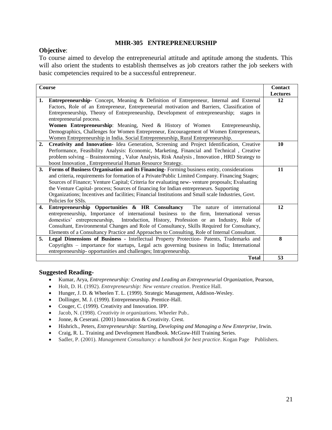## **MHR-305 ENTREPRENEURSHIP**

## **Objective**:

To course aimed to develop the entrepreneurial attitude and aptitude among the students. This will also orient the students to establish themselves as job creators rather the job seekers with basic competencies required to be a successful entrepreneur.

| <b>Course</b> |                                                                                                    | <b>Contact</b>  |
|---------------|----------------------------------------------------------------------------------------------------|-----------------|
|               |                                                                                                    | <b>Lectures</b> |
| 1.            | <b>Entrepreneurship-</b> Concept, Meaning & Definition of Entrepreneur, Internal and External      | 12              |
|               | Factors, Role of an Entrepreneur, Entrepreneurial motivation and Barriers, Classification of       |                 |
|               | Entrepreneurship, Theory of Entrepreneurship, Development of entrepreneurship;<br>stages in        |                 |
|               | entrepreneurial process.                                                                           |                 |
|               | Women Entrepreneurship: Meaning, Need & History of Women<br>Entrepreneurship.                      |                 |
|               | Demographics, Challenges for Women Entrepreneur, Encouragement of Women Entrepreneurs,             |                 |
|               | Women Entrepreneurship in India. Social Entrepreneurship, Rural Entrepreneurship.                  |                 |
| 2.            | Creativity and Innovation-Idea Generation, Screening and Project Identification, Creative          | 10              |
|               | Performance, Feasibility Analysis: Economic, Marketing, Financial and Technical, Creative          |                 |
|               | problem solving - Brainstorming, Value Analysis, Risk Analysis, Innovation, HRD Strategy to        |                 |
|               | boost Innovation, Entrepreneurial Human Resource Strategy.                                         |                 |
| 3.            | Forms of Business Organisation and its Financing-Forming business entity, considerations           | 11              |
|               | and criteria, requirements for formation of a Private/Public Limited Company. Financing Stages;    |                 |
|               | Sources of Finance; Venture Capital; Criteria for evaluating new-venture proposals; Evaluating     |                 |
|               | the Venture Capital- process; Sources of financing for Indian entrepreneurs. Supporting            |                 |
|               | Organizations; Incentives and facilities; Financial Institutions and Small scale Industries, Govt. |                 |
|               | Policies for SSIs.                                                                                 |                 |
| 4.            | Entrepreneurship Opportunities & HR Consultancy The nature of international                        | 12              |
|               | entrepreneurship, Importance of international business to the firm, International versus           |                 |
|               | domestics' entrepreneurship,<br>Introduction, History, Profession or an Industry, Role of          |                 |
|               | Consultant, Environmental Changes and Role of Consultancy, Skills Required for Consultancy,        |                 |
|               | Elements of a Consultancy Practice and Approaches to Consulting, Role of Internal Consultant.      |                 |
| 5.            | Legal Dimensions of Business - Intellectual Property Protection- Patents, Trademarks and           | 8               |
|               | Copyrights - importance for startups, Legal acts governing business in India; International        |                 |
|               | entrepreneurship- opportunities and challenges; Intrapreneurship.                                  |                 |
|               | <b>Total</b>                                                                                       | 53              |

- Kumar, Arya, *Entrepreneurship: Creating and Leading an Entrepreneurial Organization*, Pearson,
- Holt, D. H. (1992). *Entrepreneurship: New venture creation*. Prentice Hall.
- Hunger, J. D. & Wheelen T. L. (1999). Strategic Management, Addison-Wesley.
- Dollinger, M. J. (1999). Entrepreneurship. Prentice-Hall.
- Couger, C. (1999). Creativity and Innovation. IPP.
- Jacob, N. (1998). *Creativity in organizations*. Wheeler Pub..
- Jonne, & Ceserani. (2001) Innovation & Creativity. Crest.
- Hishrich., Peters, *Entrepreneurship: Starting, Developing and Managing a New Enterprise*, Irwin.
- Craig, R. L. Training and Development Handbook. McGraw-Hill Training Series.
- Sadler, P. (2001). *Management Consultancy: a handbook for best practice*. Kogan Page Publishers.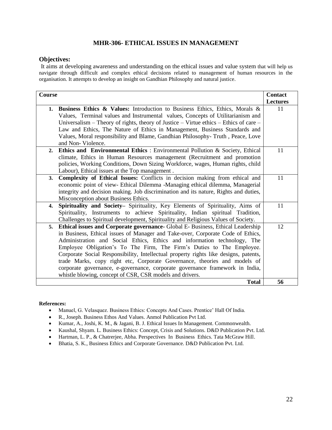## **MHR-306- ETHICAL ISSUES IN MANAGEMENT**

#### **Objectives:**

It aims at developing awareness and understanding on the ethical issues and value system that will help us navigate through difficult and complex ethical decisions related to management of human resources in the organisation. It attempts to develop an insight on Gandhian Philosophy and natural justice.

| <b>Course</b> |                                                                                                                                                              | <b>Contact</b>  |
|---------------|--------------------------------------------------------------------------------------------------------------------------------------------------------------|-----------------|
|               |                                                                                                                                                              | <b>Lectures</b> |
| 1.            | <b>Business Ethics &amp; Values:</b> Introduction to Business Ethics, Ethics, Morals &                                                                       | 11              |
|               | Values, Terminal values and Instrumental values, Concepts of Utilitarianism and                                                                              |                 |
|               | Universalism - Theory of rights, theory of Justice - Virtue ethics - Ethics of care -                                                                        |                 |
|               | Law and Ethics, The Nature of Ethics in Management, Business Standards and<br>Values, Moral responsibility and Blame, Gandhian Philosophy-Truth, Peace, Love |                 |
|               | and Non-Violence.                                                                                                                                            |                 |
| 2.            | <b>Ethics and Environmental Ethics</b> : Environmental Pollution & Society, Ethical                                                                          | 11              |
|               | climate, Ethics in Human Resources management (Recruitment and promotion                                                                                     |                 |
|               | policies, Working Conditions, Down Sizing Workforce, wages, Human rights, child                                                                              |                 |
|               | Labour), Ethical issues at the Top management.                                                                                                               |                 |
| 3.            | Complexity of Ethical Issues: Conflicts in decision making from ethical and                                                                                  | 11              |
|               | economic point of view- Ethical Dilemma -Managing ethical dilemma, Managerial                                                                                |                 |
|               | integrity and decision making. Job discrimination and its nature, Rights and duties,                                                                         |                 |
|               | Misconception about Business Ethics.                                                                                                                         |                 |
| 4.            | Spirituality and Society- Spirituality, Key Elements of Spirituality, Aims of                                                                                | 11              |
|               | Spirituality, Instruments to achieve Spirituality, Indian spiritual Tradition,                                                                               |                 |
|               | Challenges to Spiritual development, Spirituality and Religious Values of Society.                                                                           |                 |
| 5.            | Ethical issues and Corporate governance- Global E- Business, Ethical Leadership                                                                              | 12              |
|               | in Business, Ethical issues of Manager and Take-over, Corporate Code of Ethics,                                                                              |                 |
|               | Administration and Social Ethics, Ethics and information technology, The<br>Employee Obligation's To The Firm, The Firm's Duties to The Employee.            |                 |
|               | Corporate Social Responsibility, Intellectual property rights like designs, patents,                                                                         |                 |
|               | trade Marks, copy right etc, Corporate Governance, theories and models of                                                                                    |                 |
|               | corporate governance, e-governance, corporate governance framework in India,                                                                                 |                 |
|               | whistle blowing, concept of CSR, CSR models and drivers.                                                                                                     |                 |
|               | <b>Total</b>                                                                                                                                                 | 56              |

- Manuel, G. Velasquez. Business Ethics: Concepts And Cases. Prentice' Hall Of India.
- R., Joseph. Business Ethos And Values. Anmol Publication Pvt Ltd.
- Kumar, A., Joshi, K. M., & Jagani, B. J. Ethical Issues In Management. Commonwealth.
- Kaushal, Shyam. L. Business Ethics: Concept, Crisis and Solutions. D&D Publication Pvt. Ltd.
- Hartman, L. P., & Chatrerjee, Abha. Perspectives In Business Ethics. Tata McGraw Hill.
- Bhatia, S. K., Business Ethics and Corporate Governance. D&D Publication Pvt. Ltd.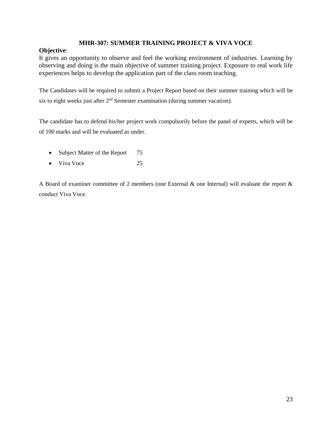## **MHR-307: SUMMER TRAINING PROJECT & VIVA VOCE**

## **Objective**:

It gives an opportunity to observe and feel the working environment of industries. Learning by observing and doing is the main objective of summer training project. Exposure to real work life experiences helps to develop the application part of the class room teaching.

The Candidates will be required to submit a Project Report based on their summer training which will be six to eight weeks just after  $2<sup>nd</sup>$  Semester examination (during summer vacation).

The candidate has to defend his/her project work compulsorily before the panel of experts, which will be of 100 marks and will be evaluated as under.

- Subject Matter of the Report 75
- Viva Voce 25

A Board of examiner committee of 2 members (one External & one Internal) will evaluate the report & conduct Viva Voce.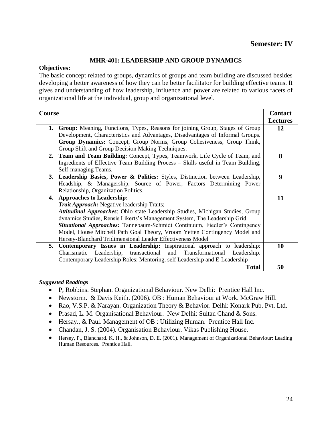## **Semester: IV**

## **MHR-401: LEADERSHIP AND GROUP DYNAMICS**

#### **Objectives:**

The basic concept related to groups, dynamics of groups and team building are discussed besides developing a better awareness of how they can be better facilitator for building effective teams. It gives and understanding of how leadership, influence and power are related to various facets of organizational life at the individual, group and organizational level.

| Course |                                                                                  | <b>Contact</b>  |
|--------|----------------------------------------------------------------------------------|-----------------|
|        |                                                                                  | <b>Lectures</b> |
| 1.     | Group: Meaning, Functions, Types, Reasons for joining Group, Stages of Group     | 12              |
|        | Development, Characteristics and Advantages, Disadvantages of Informal Groups.   |                 |
|        | Group Dynamics: Concept, Group Norms, Group Cohesiveness, Group Think,           |                 |
|        | Group Shift and Group Decision Making Techniques.                                |                 |
|        | 2. Team and Team Building: Concept, Types, Teamwork, Life Cycle of Team, and     | 8               |
|        | Ingredients of Effective Team Building Process - Skills useful in Team Building, |                 |
|        | Self-managing Teams.                                                             |                 |
|        | 3. Leadership Basics, Power & Politics: Styles, Distinction between Leadership,  | 9               |
|        | Headship, & Managership, Source of Power, Factors Determining Power              |                 |
|        | Relationship, Organization Politics.                                             |                 |
| 4.     | <b>Approaches to Leadership:</b>                                                 | 11              |
|        | <b>Trait Approach:</b> Negative leadership Traits;                               |                 |
|        | Attitudinal Approaches: Ohio state Leadership Studies, Michigan Studies, Group   |                 |
|        | dynamics Studies, Rensis Likerts's Management System, The Leadership Grid        |                 |
|        | Situational Approaches: Tannebaum-Schmidt Continuum, Fiedler's Contingency       |                 |
|        | Model, House Mitchell Path Goal Theory, Vroom Yetten Contingency Model and       |                 |
|        | Hersey-Blanchard Tridimensional Leader Effectiveness Model                       |                 |
| 5.     | <b>Contemporary Issues in Leadership:</b> Inspirational approach to leadership:  | 10              |
|        | Charismatic Leadership, transactional and Transformational Leadership.           |                 |
|        | Contemporary Leadership Roles: Mentoring, self Leadership and E-Leadership       |                 |
|        | <b>Total</b>                                                                     | 50              |

- P, Robbins. Stephan. Organizational Behaviour. New Delhi: Prentice Hall Inc.
- Newstorm. & Davis Keith. (2006). OB : Human Behaviour at Work. McGraw Hill.
- Rao, V.S.P. & Narayan. Organization Theory & Behavior. Delhi: Konark Pub. Pvt. Ltd.
- Prasad, L. M. Organisational Behaviour. New Delhi: Sultan Chand & Sons.
- Hersay., & Paul. Management of OB : Utilizing Human. Prentice Hall Inc.
- Chandan, J. S. (2004). Organisation Behaviour. Vikas Publishing House.
- Hersey, P., Blanchard. K. H., & Johnson, D. E. (2001). Management of Organizational Behaviour: Leading Human Resources. Prentice Hall.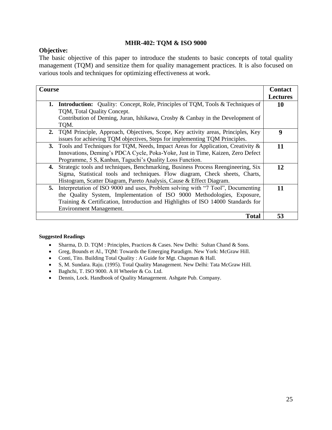## **MHR-402: TQM & ISO 9000**

## **Objective:**

The basic objective of this paper to introduce the students to basic concepts of total quality management (TQM) and sensitize them for quality management practices. It is also focused on various tools and techniques for optimizing effectiveness at work.

| Course                                                                                      | <b>Contact</b>  |
|---------------------------------------------------------------------------------------------|-----------------|
|                                                                                             | <b>Lectures</b> |
| <b>Introduction:</b> Quality: Concept, Role, Principles of TQM, Tools & Techniques of<br>1. | 10              |
| TQM, Total Quality Concept.                                                                 |                 |
| Contribution of Deming, Juran, Ishikawa, Crosby & Canbay in the Development of              |                 |
| TQM.                                                                                        |                 |
| 2. TQM Principle, Approach, Objectives, Scope, Key activity areas, Principles, Key          | 9               |
| issues for achieving TQM objectives, Steps for implementing TQM Principles.                 |                 |
| Tools and Techniques for TQM, Needs, Impact Areas for Application, Creativity $\&$<br>3.    | 11              |
| Innovations, Deming's PDCA Cycle, Poka-Yoke, Just in Time, Kaizen, Zero Defect              |                 |
| Programme, 5 S, Kanban, Taguchi's Quality Loss Function.                                    |                 |
| Strategic tools and techniques, Benchmarking, Business Process Reengineering, Six<br>4.     | 12              |
| Sigma, Statistical tools and techniques. Flow diagram, Check sheets, Charts,                |                 |
| Histogram, Scatter Diagram, Pareto Analysis, Cause & Effect Diagram.                        |                 |
| Interpretation of ISO 9000 and uses, Problem solving with "7 Tool", Documenting<br>5.       | 11              |
| the Quality System, Implementation of ISO 9000 Methodologies, Exposure,                     |                 |
| Training & Certification, Introduction and Highlights of ISO 14000 Standards for            |                 |
| Environment Management.                                                                     |                 |
| <b>Total</b>                                                                                | 53              |

- Sharma, D. D. TQM : Principles, Practices & Cases. New Delhi: Sultan Chand & Sons.
- Greg, Bounds et Al., TQM: Towards the Emerging Paradigm. New York: McGraw Hill.
- Conti, Tito. Building Total Quality : A Guide for Mgt. Chapman & Hall.
- S, M. Sundara. Raju. (1995). Total Quality Management. New Delhi: Tata McGraw Hill.
- Baghchi, T. ISO 9000. A H Wheeler & Co. Ltd.
- Dennis, Lock. Handbook of Quality Management. Ashgate Pub. Company.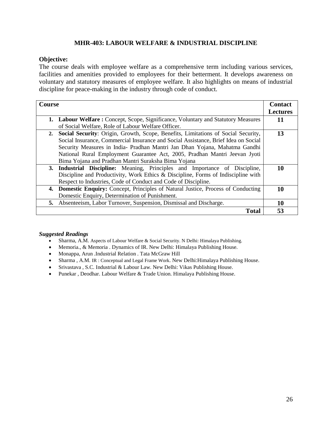## **MHR-403: LABOUR WELFARE & INDUSTRIAL DISCIPLINE**

## **Objective:**

The course deals with employee welfare as a comprehensive term including various services, facilities and amenities provided to employees for their betterment. It develops awareness on voluntary and statutory measures of employee welfare. It also highlights on means of industrial discipline for peace-making in the industry through code of conduct.

| <b>Course</b>                                                                            | <b>Contact</b><br><b>Lectures</b> |
|------------------------------------------------------------------------------------------|-----------------------------------|
| <b>1. Labour Welfare:</b> Concept, Scope, Significance, Voluntary and Statutory Measures | 11                                |
| of Social Welfare, Role of Labour Welfare Officer.                                       |                                   |
| Social Security: Origin, Growth, Scope, Benefits, Limitations of Social Security,<br>2.  | 13                                |
| Social Insurance, Commercial Insurance and Social Assistance, Brief Idea on Social       |                                   |
| Security Measures in India- Pradhan Mantri Jan Dhan Yojana, Mahatma Gandhi               |                                   |
| National Rural Employment Guarantee Act, 2005, Pradhan Mantri Jeevan Jyoti               |                                   |
| Bima Yojana and Pradhan Mantri Suraksha Bima Yojana                                      |                                   |
| 3. Industrial Discipline: Meaning, Principles and Importance of Discipline,              | 10                                |
| Discipline and Productivity, Work Ethics & Discipline, Forms of Indiscipline with        |                                   |
| Respect to Industries, Code of Conduct and Code of Discipline.                           |                                   |
| 4. Domestic Enquiry: Concept, Principles of Natural Justice, Process of Conducting       | 10                                |
| Domestic Enquiry, Determination of Punishment.                                           |                                   |
| 5. Absenteeism, Labor Turnover, Suspension, Dismissal and Discharge.                     | 10                                |
| <b>Total</b>                                                                             | 53                                |

- Sharma, A.M. Aspects of Labour Welfare & Social Security. N Delhi: Himalaya Publishing.
- Memoria., & Memoria . Dynamics of IR. New Delhi: Himalaya Publishing House.
- Monappa, Arun .Industrial Relation . Tata McGraw Hill
- Sharma, A.M. IR: Conceptual and Legal Frame Work. New Delhi: Himalaya Publishing House.
- Srivastava , S.C. Industrial & Labour Law. New Delhi: Vikas Publishing House.
- Punekar , Deodhar. Labour Welfare & Trade Union. Himalaya Publishing House.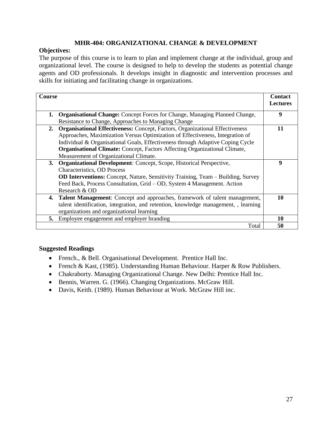## **MHR-404: ORGANIZATIONAL CHANGE & DEVELOPMENT**

## **Objectives:**

The purpose of this course is to learn to plan and implement change at the individual, group and organizational level. The course is designed to help to develop the students as potential change agents and OD professionals. It develops insight in diagnostic and intervention processes and skills for initiating and facilitating change in organizations.

| <b>Course</b>                                                                             | <b>Contact</b><br><b>Lectures</b> |
|-------------------------------------------------------------------------------------------|-----------------------------------|
| <b>Organisational Change:</b> Concept Forces for Change, Managing Planned Change,<br>1.   | 9                                 |
| Resistance to Change, Approaches to Managing Change                                       |                                   |
| <b>Organisational Effectiveness:</b> Concept, Factors, Organizational Effectiveness<br>2. | 11                                |
| Approaches, Maximization Versus Optimization of Effectiveness, Integration of             |                                   |
| Individual & Organisational Goals, Effectiveness through Adaptive Coping Cycle            |                                   |
| <b>Organisational Climate:</b> Concept, Factors Affecting Organizational Climate,         |                                   |
| Measurement of Organizational Climate.                                                    |                                   |
| <b>Organizational Development:</b> Concept, Scope, Historical Perspective,<br>3.          | 9                                 |
| <b>Characteristics</b> , OD Process                                                       |                                   |
| <b>OD Interventions:</b> Concept, Nature, Sensitivity Training, Team – Building, Survey   |                                   |
| Feed Back, Process Consultation, Grid – OD, System 4 Management. Action                   |                                   |
| Research & OD                                                                             |                                   |
| 4. Talent Management: Concept and approaches, framework of talent management,             | 10                                |
| talent identification, integration, and retention, knowledge management, , learning       |                                   |
| organizations and organizational learning                                                 |                                   |
| Employee engagement and employer branding<br>5.                                           | 10                                |
|                                                                                           | Total<br>50                       |

- French., & Bell. Organisational Development. Prentice Hall Inc.
- French & Kast, (1985). Understanding Human Behaviour. Harper & Row Publishers.
- Chakraborty. Managing Organizational Change. New Delhi: Prentice Hall Inc.
- Bennis, Warren. G. (1966). Changing Organizations. McGraw Hill.
- Davis, Keith. (1989). Human Behaviour at Work. McGraw Hill inc.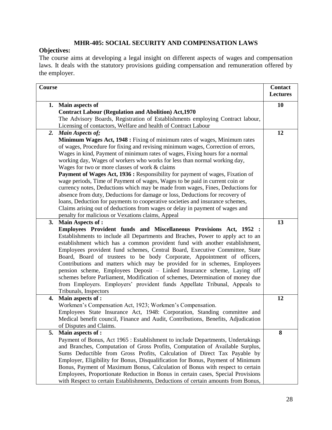## **MHR-405: SOCIAL SECURITY AND COMPENSATION LAWS**

## **Objectives:**

The course aims at developing a legal insight on different aspects of wages and compensation laws. It deals with the statutory provisions guiding compensation and remuneration offered by the employer.

| <b>Course</b> |                                                                                                                                                                                                                                                                                                                                                                                                                                                                                                                                                                                                                                                                                                                                                                                                                                                                                                                                     | <b>Contact</b><br><b>Lectures</b> |
|---------------|-------------------------------------------------------------------------------------------------------------------------------------------------------------------------------------------------------------------------------------------------------------------------------------------------------------------------------------------------------------------------------------------------------------------------------------------------------------------------------------------------------------------------------------------------------------------------------------------------------------------------------------------------------------------------------------------------------------------------------------------------------------------------------------------------------------------------------------------------------------------------------------------------------------------------------------|-----------------------------------|
|               | 1. Main aspects of<br><b>Contract Labour (Regulation and Abolition) Act, 1970</b>                                                                                                                                                                                                                                                                                                                                                                                                                                                                                                                                                                                                                                                                                                                                                                                                                                                   | 10                                |
|               | The Advisory Boards, Registration of Establishments employing Contract labour,<br>Licensing of contactors, Welfare and health of Contract Labour                                                                                                                                                                                                                                                                                                                                                                                                                                                                                                                                                                                                                                                                                                                                                                                    |                                   |
| 2.            | <b>Main Aspects of;</b>                                                                                                                                                                                                                                                                                                                                                                                                                                                                                                                                                                                                                                                                                                                                                                                                                                                                                                             | 12                                |
|               | Minimum Wages Act, 1948 : Fixing of minimum rates of wages, Minimum rates<br>of wages, Procedure for fixing and revising minimum wages, Correction of errors,<br>Wages in kind, Payment of minimum rates of wages, Fixing hours for a normal<br>working day, Wages of workers who works for less than normal working day,<br>Wages for two or more classes of work & claims<br>Payment of Wages Act, 1936 : Responsibility for payment of wages, Fixation of<br>wage periods, Time of Payment of wages, Wages to be paid in current coin or<br>currency notes, Deductions which may be made from wages, Fines, Deductions for<br>absence from duty, Deductions for damage or loss, Deductions for recovery of<br>loans, Deduction for payments to cooperative societies and insurance schemes,<br>Claims arising out of deductions from wages or delay in payment of wages and<br>penalty for malicious or Vexations claims, Appeal |                                   |
| 3.            | <b>Main Aspects of:</b>                                                                                                                                                                                                                                                                                                                                                                                                                                                                                                                                                                                                                                                                                                                                                                                                                                                                                                             | 13                                |
|               | Employees Provident funds and Miscellaneous Provisions Act, 1952 :<br>Establishments to include all Departments and Braches, Power to apply act to an<br>establishment which has a common provident fund with another establishment,<br>Employees provident fund schemes, Central Board, Executive Committee, State<br>Board, Board of trustees to be body Corporate, Appointment of officers,<br>Contributions and matters which may be provided for in schemes, Employees<br>pension scheme, Employees Deposit - Linked Insurance scheme, Laying off<br>schemes before Parliament, Modification of schemes, Determination of money due<br>from Employers. Employers' provident funds Appellate Tribunal, Appeals to<br>Tribunals, Inspectors                                                                                                                                                                                      |                                   |
| 4.            | Main aspects of :<br>Workmen's Compensation Act, 1923; Workmen's Compensation.<br>Employees State Insurance Act, 1948: Corporation, Standing committee and<br>Medical benefit council, Finance and Audit, Contributions, Benefits, Adjudication<br>of Disputes and Claims.                                                                                                                                                                                                                                                                                                                                                                                                                                                                                                                                                                                                                                                          | 12                                |
| 5.            | Main aspects of :<br>Payment of Bonus, Act 1965 : Establishment to include Departments, Undertakings<br>and Branches, Computation of Gross Profits, Computation of Available Surplus,<br>Sums Deductible from Gross Profits, Calculation of Direct Tax Payable by<br>Employer, Eligibility for Bonus, Disqualification for Bonus, Payment of Minimum<br>Bonus, Payment of Maximum Bonus, Calculation of Bonus with respect to certain<br>Employees, Proportionate Reduction in Bonus in certain cases, Special Provisions<br>with Respect to certain Establishments, Deductions of certain amounts from Bonus,                                                                                                                                                                                                                                                                                                                      | 8                                 |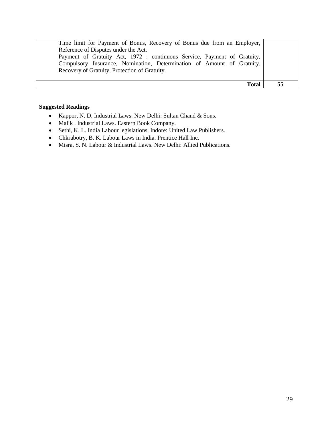| Time limit for Payment of Bonus, Recovery of Bonus due from an Employer, |  |
|--------------------------------------------------------------------------|--|
| Reference of Disputes under the Act.                                     |  |
| Payment of Gratuity Act, 1972 : continuous Service, Payment of Gratuity, |  |
| Compulsory Insurance, Nomination, Determination of Amount of Gratuity,   |  |
| Recovery of Gratuity, Protection of Gratuity.                            |  |
|                                                                          |  |
| Total                                                                    |  |

- Kappor, N. D. Industrial Laws. New Delhi: Sultan Chand & Sons.
- Malik . Industrial Laws. Eastern Book Company.
- Sethi, K. L. India Labour legislations, Indore: United Law Publishers.
- Chkrabotry, B. K. Labour Laws in India. Prentice Hall Inc.
- Misra, S. N. Labour & Industrial Laws. New Delhi: Allied Publications.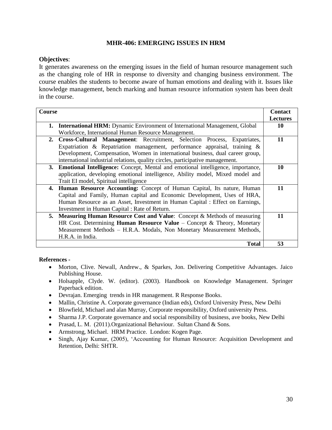## **MHR-406: EMERGING ISSUES IN HRM**

## **Objectives**:

It generates awareness on the emerging issues in the field of human resource management such as the changing role of HR in response to diversity and changing business environment. The course enables the students to become aware of human emotions and dealing with it. Issues like knowledge management, bench marking and human resource information system has been dealt in the course.

| Course |                                                                                    | <b>Contact</b>  |
|--------|------------------------------------------------------------------------------------|-----------------|
|        |                                                                                    | <b>Lectures</b> |
| 1.     | <b>International HRM:</b> Dynamic Environment of International Management, Global  | 10              |
|        | Workforce, International Human Resource Management.                                |                 |
| 2.     | Cross-Cultural Management: Recruitment, Selection Process, Expatriates,            | 11              |
|        | Expatriation & Repatriation management, performance appraisal, training $\&$       |                 |
|        | Development, Compensation, Women in international business, dual career group,     |                 |
|        | international industrial relations, quality circles, participative management.     |                 |
|        | 3. Emotional Intelligence: Concept, Mental and emotional intelligence, importance, | 10              |
|        | application, developing emotional intelligence, Ability model, Mixed model and     |                 |
|        | Trait EI model, Spiritual intelligence                                             |                 |
| 4.     | Human Resource Accounting: Concept of Human Capital, Its nature, Human             | 11              |
|        | Capital and Family, Human capital and Economic Development, Uses of HRA,           |                 |
|        | Human Resource as an Asset, Investment in Human Capital : Effect on Earnings,      |                 |
|        | Investment in Human Capital: Rate of Return.                                       |                 |
| 5.     | <b>Measuring Human Resource Cost and Value:</b> Concept & Methods of measuring     | 11              |
|        | HR Cost. Determining <b>Human Resource Value</b> – Concept & Theory, Monetary      |                 |
|        | Measurement Methods - H.R.A. Modals, Non Monetary Measurement Methods,             |                 |
|        | H.R.A. in India.                                                                   |                 |
|        | <b>Total</b>                                                                       | 53              |

#### **References -**

- Morton, Clive. Newall, Andrew., & Sparkes, Jon. Delivering Competitive Advantages. Jaico Publishing House.
- Holsapple, Clyde. W. (editor). (2003). Handbook on Knowledge Management. Springer Paperback edition.
- Devrajan. Emerging trends in HR management. R Response Books.
- Mallin, Christine A. Corporate governance (Indian eds), Oxford University Press, New Delhi
- Blowfield, Michael and alan Murray, Corporate responsibility, Oxford university Press.
- Sharma J.P. Corporate governance and social responsibility of business, ave books, New Delhi
- Prasad, L. M. (2011).Organizational Behaviour. Sultan Chand & Sons.
- Armstrong, Michael. HRM Practice. London: Kogen Page.
- Singh, Ajay Kumar, (2005), 'Accounting for Human Resource: Acquisition Development and Retention, Delhi: SHTR.